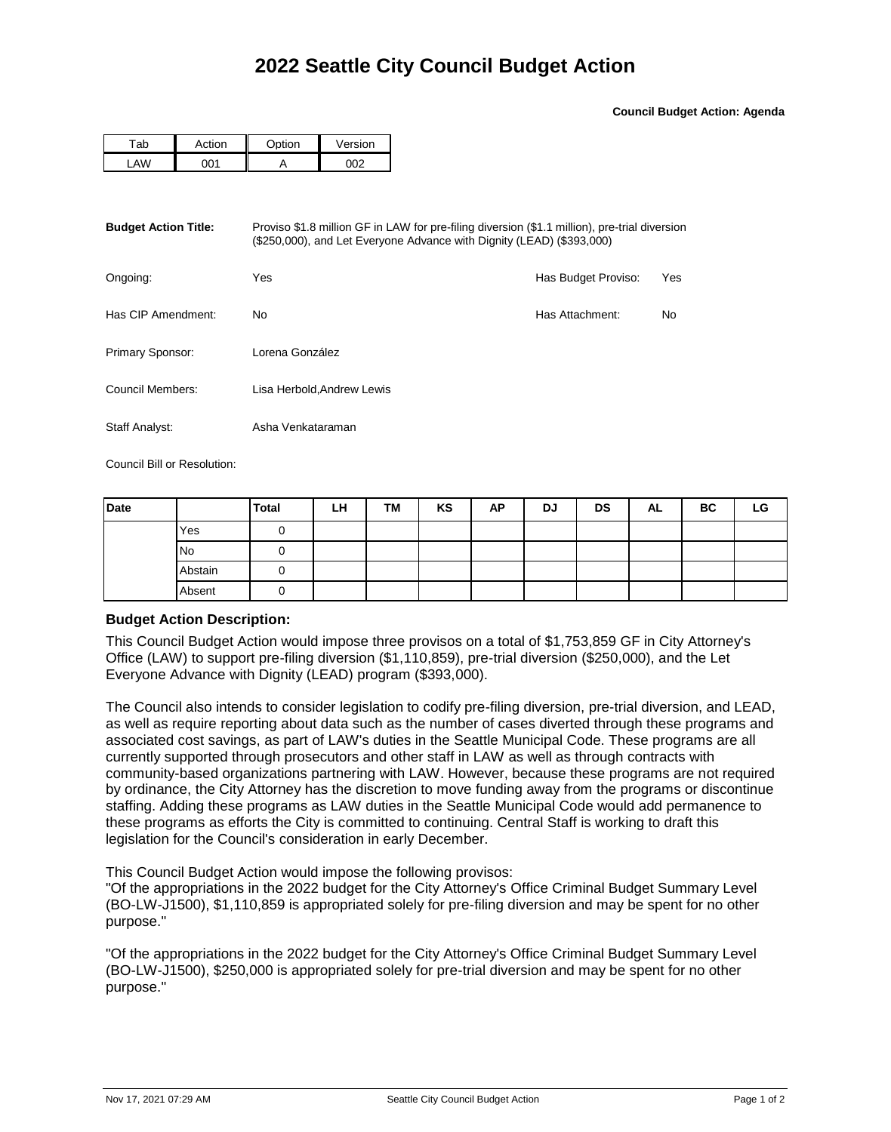**Council Budget Action: Agenda**

| ™ab | rtion، | ∩nti∩n | Version |  |
|-----|--------|--------|---------|--|
| Δ   |        |        |         |  |

| <b>Budget Action Title:</b> | Proviso \$1.8 million GF in LAW for pre-filing diversion (\$1.1 million), pre-trial diversion<br>(\$250,000), and Let Everyone Advance with Dignity (LEAD) (\$393,000) |                     |           |  |
|-----------------------------|------------------------------------------------------------------------------------------------------------------------------------------------------------------------|---------------------|-----------|--|
| Ongoing:                    | Yes                                                                                                                                                                    | Has Budget Proviso: | Yes       |  |
| Has CIP Amendment:          | No.                                                                                                                                                                    | Has Attachment:     | <b>No</b> |  |
| Primary Sponsor:            | Lorena González                                                                                                                                                        |                     |           |  |
| Council Members:            | Lisa Herbold. Andrew Lewis                                                                                                                                             |                     |           |  |
| Staff Analyst:              | Asha Venkataraman                                                                                                                                                      |                     |           |  |

Council Bill or Resolution:

| Date |         | Total | LH | TM | KS | ΑP | DJ | DS | AL | ВC | LG |
|------|---------|-------|----|----|----|----|----|----|----|----|----|
|      | Yes     |       |    |    |    |    |    |    |    |    |    |
|      | No      |       |    |    |    |    |    |    |    |    |    |
|      | Abstain |       |    |    |    |    |    |    |    |    |    |
|      | Absent  |       |    |    |    |    |    |    |    |    |    |

## **Budget Action Description:**

This Council Budget Action would impose three provisos on a total of \$1,753,859 GF in City Attorney's Office (LAW) to support pre-filing diversion (\$1,110,859), pre-trial diversion (\$250,000), and the Let Everyone Advance with Dignity (LEAD) program (\$393,000).

The Council also intends to consider legislation to codify pre-filing diversion, pre-trial diversion, and LEAD, as well as require reporting about data such as the number of cases diverted through these programs and associated cost savings, as part of LAW's duties in the Seattle Municipal Code. These programs are all currently supported through prosecutors and other staff in LAW as well as through contracts with community-based organizations partnering with LAW. However, because these programs are not required by ordinance, the City Attorney has the discretion to move funding away from the programs or discontinue staffing. Adding these programs as LAW duties in the Seattle Municipal Code would add permanence to these programs as efforts the City is committed to continuing. Central Staff is working to draft this legislation for the Council's consideration in early December.

This Council Budget Action would impose the following provisos:

"Of the appropriations in the 2022 budget for the City Attorney's Office Criminal Budget Summary Level (BO-LW-J1500), \$1,110,859 is appropriated solely for pre-filing diversion and may be spent for no other purpose."

"Of the appropriations in the 2022 budget for the City Attorney's Office Criminal Budget Summary Level (BO-LW-J1500), \$250,000 is appropriated solely for pre-trial diversion and may be spent for no other purpose."